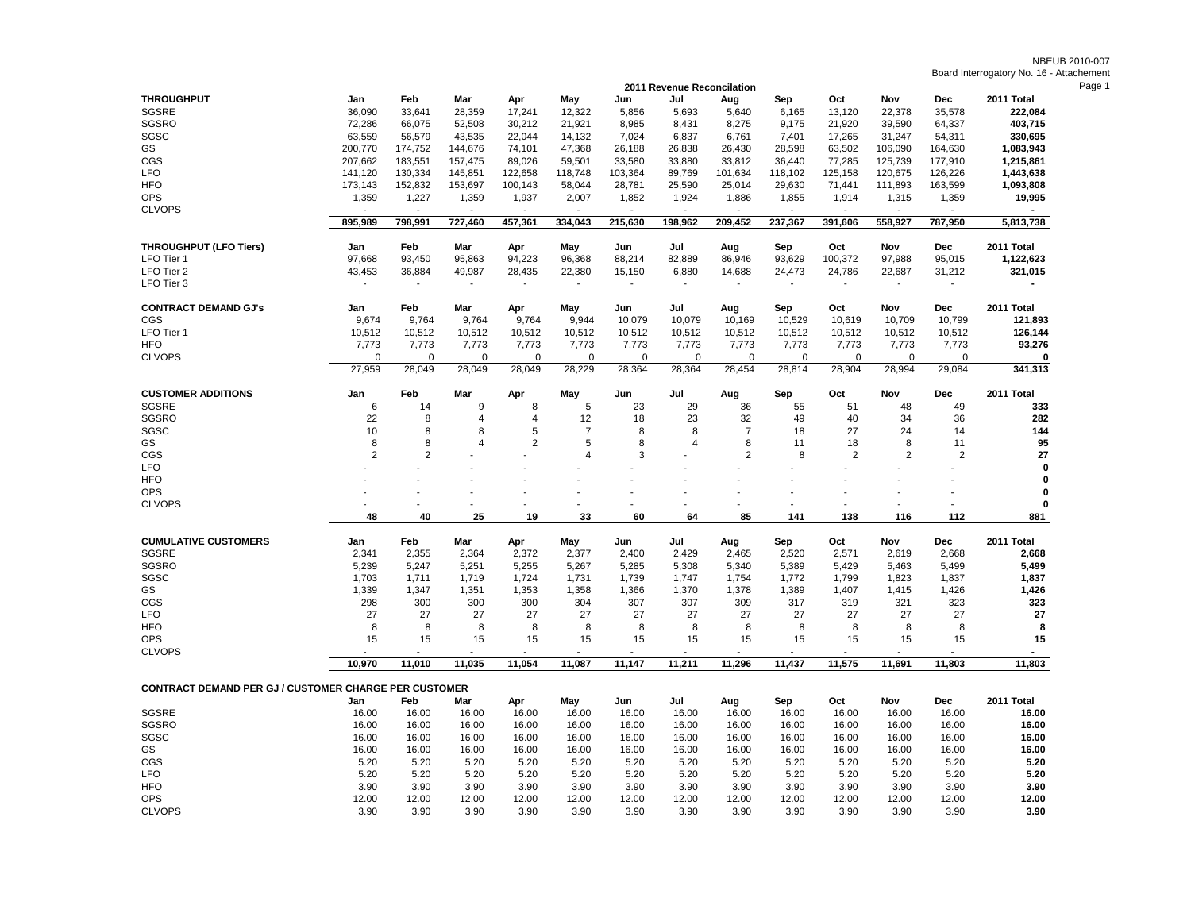NBEUB 2010-007 Board Interrogatory No. 16 - Attachement

| 2011 Revenue Reconcilation                                   |                |               |                          |                          |                          |               |               |                |                          |                |                |               |               |
|--------------------------------------------------------------|----------------|---------------|--------------------------|--------------------------|--------------------------|---------------|---------------|----------------|--------------------------|----------------|----------------|---------------|---------------|
| <b>THROUGHPUT</b>                                            | Jan            | Feb           | Mar                      | Apr                      | May                      | Jun           | Jul           | Aug            | Sep                      | Oct            | Nov            | Dec           | 2011 Total    |
| SGSRE                                                        | 36,090         | 33,641        | 28,359                   | 17,241                   | 12,322                   | 5,856         | 5,693         | 5,640          | 6,165                    | 13,120         | 22,378         | 35,578        | 222,084       |
| SGSRO                                                        | 72,286         | 66,075        | 52,508                   | 30,212                   | 21,921                   | 8,985         | 8,431         | 8,275          | 9,175                    | 21,920         | 39,590         | 64,337        | 403,715       |
| SGSC                                                         | 63,559         | 56,579        | 43,535                   | 22,044                   | 14,132                   | 7,024         | 6,837         | 6,761          | 7,401                    | 17,265         | 31,247         | 54,311        | 330,695       |
| GS                                                           | 200,770        | 174,752       | 144,676                  | 74,101                   | 47,368                   | 26,188        | 26,838        | 26,430         | 28,598                   | 63,502         | 106,090        | 164,630       | 1,083,943     |
| CGS                                                          | 207,662        | 183,551       | 157,475                  | 89,026                   | 59,501                   | 33,580        | 33,880        | 33,812         | 36,440                   | 77,285         | 125,739        | 177,910       | 1,215,861     |
| <b>LFO</b>                                                   | 141,120        | 130,334       | 145,851                  | 122,658                  | 118,748                  | 103,364       | 89,769        | 101,634        | 118,102                  | 125,158        | 120,675        | 126,226       | 1,443,638     |
| <b>HFO</b>                                                   | 173,143        | 152,832       | 153,697                  | 100,143                  | 58,044                   | 28,781        | 25,590        | 25,014         | 29,630                   | 71,441         | 111,893        | 163,599       | 1,093,808     |
| <b>OPS</b>                                                   | 1,359          | 1,227         | 1,359                    | 1,937                    | 2,007                    | 1,852         | 1,924         | 1,886          | 1,855                    | 1,914          | 1,315          | 1,359         | 19,995        |
| <b>CLVOPS</b>                                                |                |               | $\sim$                   | $\sim$                   |                          | $\sim$        | $\sim$        |                | $\sim$                   | ÷,             |                |               |               |
|                                                              | 895,989        | 798,991       | 727,460                  | 457,361                  | 334,043                  | 215,630       | 198,962       | 209,452        | 237,367                  | 391,606        | 558,927        | 787,950       | 5,813,738     |
| <b>THROUGHPUT (LFO Tiers)</b>                                | Jan            | Feb           | Mar                      | Apr                      | May                      | Jun           | Jul           | Aug            | Sep                      | Oct            | Nov            | Dec           | 2011 Total    |
| LFO Tier 1                                                   | 97,668         | 93,450        | 95,863                   | 94,223                   | 96,368                   | 88,214        | 82,889        | 86,946         | 93,629                   | 100,372        | 97,988         | 95,015        | 1,122,623     |
| LFO Tier 2                                                   | 43,453         | 36,884        | 49,987                   | 28,435                   | 22,380                   | 15,150        | 6,880         | 14,688         | 24,473                   | 24,786         | 22,687         | 31,212        | 321,015       |
| LFO Tier 3                                                   |                |               | $\overline{\phantom{a}}$ | $\overline{\phantom{a}}$ | $\overline{\phantom{a}}$ |               |               |                | $\overline{\phantom{a}}$ |                |                |               |               |
|                                                              |                |               |                          |                          |                          |               |               |                |                          |                |                |               |               |
| <b>CONTRACT DEMAND GJ's</b>                                  | Jan            | Feb           | Mar                      | Apr                      | May                      | Jun           | Jul           | Aug            | Sep                      | Oct            | Nov            | Dec           | 2011 Total    |
| CGS                                                          | 9,674          | 9,764         | 9,764                    | 9,764                    | 9,944                    | 10,079        | 10,079        | 10,169         | 10,529                   | 10,619         | 10,709         | 10,799        | 121,893       |
| LFO Tier 1                                                   | 10,512         | 10,512        | 10,512                   | 10,512                   | 10,512                   | 10,512        | 10,512        | 10,512         | 10,512                   | 10,512         | 10,512         | 10,512        | 126,144       |
| <b>HFO</b>                                                   | 7,773          | 7,773         | 7,773                    | 7,773                    | 7,773                    | 7,773         | 7,773         | 7,773          | 7,773                    | 7,773          | 7,773          | 7,773         | 93,276        |
| <b>CLVOPS</b>                                                | $\mathbf 0$    | 0             | $\Omega$                 | $\Omega$                 | $\Omega$                 | $\mathbf 0$   | 0             | $\Omega$       | $\mathbf 0$              | 0              | $\mathbf 0$    | 0             | 0             |
|                                                              | 27.959         | 28.049        | 28,049                   | 28.049                   | 28.229                   | 28,364        | 28,364        | 28.454         | 28,814                   | 28.904         | 28.994         | 29,084        | 341,313       |
| <b>CUSTOMER ADDITIONS</b>                                    | Jan            | Feb           | Mar                      | Apr                      | May                      | Jun           | Jul           | Aug            | Sep                      | Oct            | Nov            | <b>Dec</b>    | 2011 Total    |
| <b>SGSRE</b>                                                 | 6              | 14            | 9                        | 8                        | 5                        | 23            | 29            | 36             | 55                       | 51             | 48             | 49            | 333           |
| SGSRO                                                        | 22             | 8             | 4                        | $\overline{4}$           | 12                       | 18            | 23            | 32             | 49                       | 40             | 34             | 36            | 282           |
| SGSC                                                         | 10             | 8             | 8                        | 5                        | $\overline{7}$           | 8             | 8             | $\overline{7}$ | 18                       | 27             | 24             | 14            | 144           |
| GS                                                           | 8              | 8             | $\overline{4}$           | $\overline{2}$           | 5                        | 8             | 4             | 8              | 11                       | 18             | 8              | 11            | 95            |
| CGS                                                          | $\overline{2}$ | 2             |                          |                          | $\overline{4}$           | 3             |               | $\overline{2}$ | 8                        | $\overline{2}$ | $\overline{2}$ | 2             | 27            |
| <b>LFO</b>                                                   |                |               |                          |                          |                          |               |               |                |                          |                |                |               | $\mathbf 0$   |
|                                                              |                |               |                          |                          |                          |               |               |                |                          |                |                |               | 0             |
|                                                              |                |               |                          |                          |                          |               |               |                |                          |                |                |               |               |
| <b>HFO</b>                                                   |                |               |                          |                          |                          |               |               |                |                          |                |                |               |               |
| <b>OPS</b>                                                   |                |               |                          |                          |                          |               |               |                | i.                       |                |                |               | $\mathbf 0$   |
| <b>CLVOPS</b>                                                | 48             | 40            | 25                       | 19                       | 33                       | 60            | 64            | 85             | 141                      | 138            | 116            | 112           | 0<br>881      |
|                                                              |                |               |                          |                          |                          |               |               |                |                          |                |                |               |               |
| <b>CUMULATIVE CUSTOMERS</b>                                  | Jan            | Feb           | Mar                      | Apr                      | May                      | Jun           | Jul           | Aug            | Sep                      | Oct            | Nov            | Dec           | 2011 Total    |
| <b>SGSRE</b>                                                 | 2,341          | 2,355         | 2,364                    | 2,372                    | 2,377                    | 2,400         | 2,429         | 2,465          | 2,520                    | 2,571          | 2,619          | 2,668         | 2,668         |
| SGSRO                                                        | 5,239          | 5,247         | 5,251                    | 5,255                    | 5,267                    | 5,285         | 5,308         | 5,340          | 5,389                    | 5,429          | 5,463          | 5,499         | 5,499         |
| SGSC                                                         | 1,703          | 1,711         | 1,719                    | 1,724                    | 1,731                    | 1,739         | 1,747         | 1,754          | 1,772                    | 1,799          | 1,823          | 1,837         | 1,837         |
| GS                                                           | 1,339          | 1,347         | 1,351                    | 1,353                    | 1,358                    | 1,366         | 1,370         | 1,378          | 1,389                    | 1,407          | 1,415          | 1,426         | 1,426         |
| CGS                                                          | 298            | 300           | 300                      | 300                      | 304                      | 307           | 307           | 309            | 317                      | 319            | 321            | 323           | 323           |
| <b>LFO</b>                                                   | 27             | 27            | 27                       | 27                       | 27                       | 27            | 27            | 27             | 27                       | 27             | 27             | 27            | 27            |
| <b>HFO</b>                                                   | 8              | 8             | 8                        | 8                        | 8                        | 8             | 8             | 8              | 8                        | 8              | 8              | 8             | 8             |
| <b>OPS</b>                                                   | 15             | 15            | 15                       | 15                       | 15                       | 15            | 15            | 15             | 15                       | 15             | 15             | 15            | 15            |
| <b>CLVOPS</b>                                                |                |               |                          |                          |                          |               |               |                |                          |                |                |               |               |
|                                                              | 10,970         | 11,010        | 11,035                   | 11,054                   | 11,087                   | 11,147        | 11,211        | 11,296         | 11,437                   | 11,575         | 11,691         | 11,803        | 11,803        |
| <b>CONTRACT DEMAND PER GJ / CUSTOMER CHARGE PER CUSTOMER</b> |                |               |                          |                          |                          |               |               |                |                          |                |                |               |               |
|                                                              | Jan            | Feb           | Mar                      | Apr                      | May                      | Jun           | Jul           | Aug            | Sep                      | Oct            | Nov            | <b>Dec</b>    | 2011 Total    |
| <b>SGSRE</b>                                                 | 16.00          | 16.00         | 16.00                    | 16.00                    | 16.00                    | 16.00         | 16.00         | 16.00          | 16.00                    | 16.00          | 16.00          | 16.00         | 16.00         |
| <b>SGSRO</b>                                                 | 16.00          | 16.00         | 16.00                    | 16.00                    | 16.00                    | 16.00         | 16.00         | 16.00          | 16.00                    | 16.00          | 16.00          | 16.00         | 16.00         |
| SGSC                                                         | 16.00          | 16.00         | 16.00                    | 16.00                    | 16.00                    | 16.00         | 16.00         | 16.00          | 16.00                    | 16.00          | 16.00          | 16.00         | 16.00         |
| GS                                                           | 16.00          | 16.00         | 16.00                    | 16.00                    | 16.00                    | 16.00         | 16.00         | 16.00          | 16.00                    | 16.00          | 16.00          | 16.00         | 16.00         |
| CGS                                                          | 5.20           | 5.20          | 5.20                     | 5.20                     | 5.20                     | 5.20          | 5.20          | 5.20           | 5.20                     | 5.20           | 5.20           | 5.20          | 5.20          |
| <b>LFO</b>                                                   | 5.20           | 5.20          | 5.20                     | 5.20                     | 5.20                     | 5.20          | 5.20          | 5.20           | 5.20                     | 5.20           | 5.20           | 5.20          | 5.20          |
| <b>HFO</b><br><b>OPS</b>                                     | 3.90<br>12.00  | 3.90<br>12.00 | 3.90<br>12.00            | 3.90<br>12.00            | 3.90<br>12.00            | 3.90<br>12.00 | 3.90<br>12.00 | 3.90<br>12.00  | 3.90<br>12.00            | 3.90<br>12.00  | 3.90<br>12.00  | 3.90<br>12.00 | 3.90<br>12.00 |

CLVOPS 3.90 3.90 3.90 3.90 3.90 3.90 3.90 3.90 3.90 3.90 3.90 3.90 **3.90**

Page 1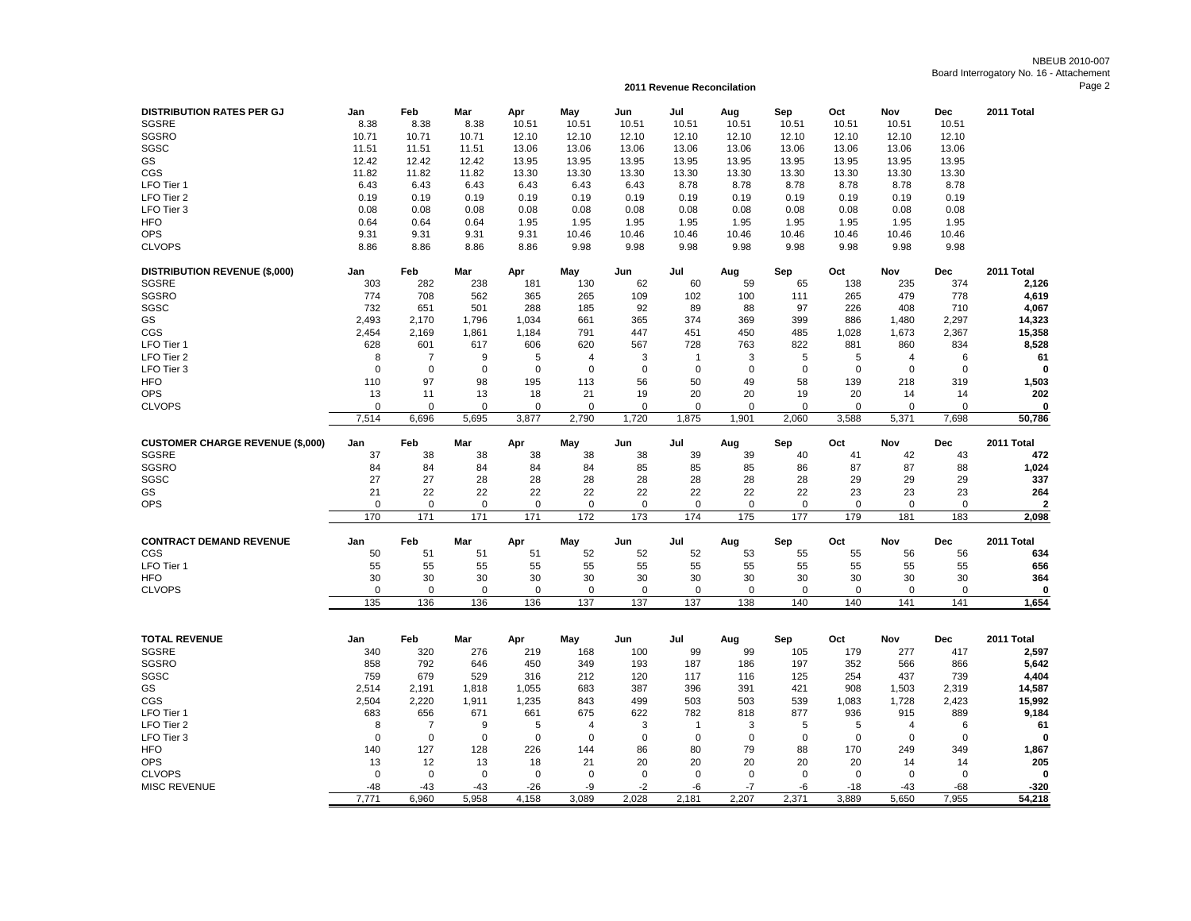## NBEUB 2010-007 Board Interrogatory No. 16 - Attachement Page 2

**2011 Revenue Reconcilation**

| <b>DISTRIBUTION RATES PER GJ</b><br>SGSRE | Jan<br>8.38  | Feb<br>8.38    | Mar<br>8.38  | Apr<br>10.51 | May<br>10.51   | Jun<br>10.51  | Jul<br>10.51 | Aug<br>10.51 | Sep<br>10.51 | Oct<br>10.51   | Nov<br>10.51   | Dec<br>10.51 | 2011 Total                       |
|-------------------------------------------|--------------|----------------|--------------|--------------|----------------|---------------|--------------|--------------|--------------|----------------|----------------|--------------|----------------------------------|
| <b>SGSRO</b>                              | 10.71        | 10.71          | 10.71        | 12.10        | 12.10          | 12.10         | 12.10        | 12.10        | 12.10        | 12.10          | 12.10          | 12.10        |                                  |
| SGSC                                      | 11.51        | 11.51          | 11.51        | 13.06        | 13.06          | 13.06         | 13.06        | 13.06        | 13.06        | 13.06          | 13.06          | 13.06        |                                  |
| GS                                        | 12.42        | 12.42          | 12.42        | 13.95        | 13.95          | 13.95         | 13.95        | 13.95        | 13.95        | 13.95          | 13.95          | 13.95        |                                  |
| CGS                                       | 11.82        | 11.82          | 11.82        | 13.30        | 13.30          | 13.30         | 13.30        | 13.30        | 13.30        | 13.30          | 13.30          | 13.30        |                                  |
| LFO Tier 1                                | 6.43         | 6.43           | 6.43         | 6.43         | 6.43           | 6.43          | 8.78         | 8.78         | 8.78         | 8.78           | 8.78           | 8.78         |                                  |
| LFO Tier 2                                | 0.19         | 0.19           | 0.19         | 0.19         | 0.19           | 0.19          | 0.19         | 0.19         | 0.19         | 0.19           | 0.19           | 0.19         |                                  |
| LFO Tier 3                                | 0.08         | 0.08           | 0.08         |              | 0.08           | 0.08          | 0.08         | 0.08         | 0.08         | 0.08           | 0.08           |              |                                  |
|                                           |              |                |              | 0.08         |                |               |              |              |              |                |                | 0.08         |                                  |
| <b>HFO</b>                                | 0.64         | 0.64           | 0.64         | 1.95         | 1.95           | 1.95          | 1.95         | 1.95         | 1.95         | 1.95           | 1.95           | 1.95         |                                  |
| <b>OPS</b>                                | 9.31         | 9.31           | 9.31         | 9.31         | 10.46          | 10.46         | 10.46        | 10.46        | 10.46        | 10.46          | 10.46          | 10.46        |                                  |
| <b>CLVOPS</b>                             | 8.86         | 8.86           | 8.86         | 8.86         | 9.98           | 9.98          | 9.98         | 9.98         | 9.98         | 9.98           | 9.98           | 9.98         |                                  |
| <b>DISTRIBUTION REVENUE (\$,000)</b>      | Jan          | Feb            | Mar          | Apr          | May            | Jun           | Jul          | Aug          | Sep          | Oct            | Nov            | Dec          | 2011 Total                       |
| <b>SGSRE</b>                              | 303          | 282            | 238          | 181          | 130            | 62            | 60           | 59           | 65           | 138            | 235            | 374          | 2,126                            |
| <b>SGSRO</b>                              | 774          | 708            | 562          | 365          | 265            | 109           | 102          | 100          | 111          | 265            | 479            | 778          | 4,619                            |
| SGSC                                      | 732          | 651            | 501          | 288          | 185            | 92            | 89           | 88           | 97           | 226            | 408            | 710          | 4,067                            |
| GS                                        | 2,493        | 2,170          | 1,796        | 1,034        | 661            | 365           | 374          | 369          | 399          | 886            | 1,480          | 2,297        | 14,323                           |
| CGS                                       | 2.454        | 2.169          | 1.861        | 1,184        | 791            | 447           | 451          | 450          | 485          | 1,028          | 1,673          | 2,367        | 15,358                           |
| LFO Tier 1                                | 628          | 601            | 617          | 606          | 620            | 567           | 728          | 763          | 822          | 881            | 860            | 834          | 8,528                            |
| LFO Tier 2                                | 8            | -7             | 9            | 5            | $\overline{4}$ | 3             | $\mathbf 1$  | 3            | 5            | 5              | $\overline{4}$ | 6            | 61                               |
| LFO Tier 3                                | $\mathbf 0$  | $\mathbf 0$    | $\mathbf 0$  | $\mathbf 0$  | $\mathbf 0$    | $\mathbf 0$   | $\mathbf 0$  | $\mathbf 0$  | $\mathbf 0$  | 0              | $\mathbf 0$    | $\mathbf 0$  | $\mathbf 0$                      |
| <b>HFO</b>                                | 110          | 97             | 98           | 195          | 113            | 56            | 50           | 49           | 58           | 139            | 218            | 319          | 1,503                            |
| OPS                                       | 13           | 11             | 13           | 18           | 21             | 19            | 20           | 20           | 19           | 20             | 14             | 14           | 202                              |
| <b>CLVOPS</b>                             | $\Omega$     | $\mathbf 0$    | $\Omega$     | $\Omega$     | $\Omega$       | $\Omega$      | $\Omega$     | $\Omega$     | $\Omega$     | 0              | $\Omega$       | $\Omega$     | 0                                |
|                                           | 7,514        | 6,696          | 5,695        | 3,877        | 2,790          | 1,720         | 1,875        | 1,901        | 2,060        | 3,588          | 5,371          | 7,698        | 50,786                           |
| <b>CUSTOMER CHARGE REVENUE (\$,000)</b>   | Jan          | Feb            | Mar          | Apr          | May            | Jun           | Jul          | Aug          | Sep          | Oct            | Nov            | Dec          | 2011 Total                       |
| <b>SGSRE</b>                              | 37           | 38             | 38           | 38           | 38             | 38            | 39           | 39           | 40           | 41             | 42             | 43           | 472                              |
|                                           |              |                |              |              |                |               |              |              |              |                |                |              |                                  |
| SGSRO                                     | 84           | 84             | 84           | 84           | 84             | 85            | 85           | 85           | 86           | 87             | 87             | 88           | 1,024                            |
| SGSC                                      | 27           | 27             | 28           | 28           | 28             | 28            | 28           | 28           | 28           | 29             | 29             | 29           | 337                              |
| GS                                        | 21           | 22             | 22           | 22           | 22             | 22            | 22           | 22           | 22           | 23             | 23             | 23           | 264                              |
| <b>OPS</b>                                | $\mathbf 0$  | $\mathbf 0$    | $\mathbf 0$  | $\mathbf 0$  | $\mathbf 0$    | $\mathbf 0$   | $\mathbf 0$  | $\mathbf 0$  | $\mathbf 0$  | $\mathbf 0$    | $\mathbf 0$    | $\mathbf 0$  |                                  |
|                                           | 170          | 171            | 171          | 171          | 172            | 173           | 174          | 175          | 177          | 179            | 181            | 183          | $\overline{\mathbf{2}}$<br>2,098 |
| <b>CONTRACT DEMAND REVENUE</b>            | Jan          | Feb            | Mar          | Apr          | May            | Jun           | Jul          | Aug          | Sep          | Oct            | Nov            | Dec          | 2011 Total                       |
| CGS                                       | 50           | 51             | 51           | 51           | 52             | 52            | 52           | 53           | 55           | 55             | 56             | 56           | 634                              |
| LFO Tier 1                                | 55           | 55             | 55           | 55           | 55             | 55            | 55           | 55           | 55           | 55             | 55             | 55           | 656                              |
| <b>HFO</b>                                | 30           | 30             | 30           | 30           | 30             | 30            | 30           | 30           | 30           | 30             | 30             | 30           | 364                              |
| <b>CLVOPS</b>                             | $\mathbf 0$  | $\mathbf 0$    | $\Omega$     | $\mathbf 0$  | $\mathbf 0$    | 0             | 0            | $\Omega$     | $\mathbf 0$  | 0              | $\mathbf 0$    | $\mathbf 0$  | 0                                |
|                                           | 135          | 136            | 136          | 136          | 137            | 137           | 137          | 138          | 140          | 140            | 141            | 141          | 1,654                            |
|                                           |              |                |              |              |                |               |              |              |              |                |                |              |                                  |
| <b>TOTAL REVENUE</b>                      | Jan          | Feb            | Mar          | Apr          | May            | Jun           | Jul          | Aug          | Sep          | Oct            | Nov            | <b>Dec</b>   | 2011 Total                       |
| <b>SGSRE</b>                              | 340          | 320            | 276          | 219          | 168            | 100           | 99           | 99           | 105          | 179            | 277            | 417          | 2,597                            |
| SGSRO                                     | 858          | 792            | 646          | 450          | 349            | 193           | 187          | 186          | 197          | 352            | 566            | 866          | 5,642                            |
| SGSC                                      | 759          | 679            | 529          | 316          | 212            | 120           | 117          | 116          | 125          | 254            | 437            | 739          | 4,404                            |
| GS                                        | 2,514        | 2,191          | 1,818        | 1,055        | 683            | 387           | 396          | 391          | 421          | 908            | 1,503          | 2,319        | 14,587                           |
| CGS                                       | 2,504        | 2,220          | 1,911        | 1,235        | 843            | 499           | 503          | 503          | 539          | 1,083          | 1,728          | 2,423        | 15,992                           |
| LFO Tier 1                                | 683          | 656            | 671          | 661          | 675            | 622           | 782          | 818          | 877          | 936            | 915            | 889          | 9,184                            |
| LFO Tier 2                                | 8            | $\overline{7}$ | 9            | 5            | 4              | 3             | $\mathbf 1$  | 3            | 5            |                | 4              | 6            |                                  |
|                                           | $\mathbf 0$  | $\mathbf 0$    | $\mathbf 0$  |              | $\mathbf 0$    |               | $\mathbf 0$  | $\mathbf 0$  |              | 5<br>0         | $\mathbf 0$    |              | 61<br>0                          |
| LFO Tier 3                                |              |                |              | $\mathbf 0$  |                | $\mathbf 0$   |              |              | $\mathbf 0$  |                |                | $\mathbf 0$  |                                  |
| <b>HFO</b>                                | 140          | 127            | 128          | 226          | 144            | 86            | 80           | 79           | 88           | 170            | 249            | 349          | 1,867                            |
| <b>OPS</b>                                | 13           | 12             | 13           | 18           | 21             | 20            | 20           | 20           | 20           | 20             | 14             | 14           | 205                              |
| <b>CLVOPS</b>                             | $\Omega$     | $\mathbf 0$    | $\mathbf 0$  | $\mathbf 0$  | $\mathbf 0$    | $\mathbf 0$   | $\mathbf 0$  | $\Omega$     | $\Omega$     | $\mathbf 0$    | $\Omega$       | $\Omega$     | $\mathbf 0$                      |
| <b>MISC REVENUE</b>                       | -48<br>7,771 | $-43$<br>6.960 | -43<br>5.958 | -26<br>4.158 | -9<br>3.089    | $-2$<br>2.028 | -6<br>2,181  | -7<br>2.207  | -6<br>2.371  | $-18$<br>3.889 | -43<br>5.650   | -68<br>7.955 | $-320$<br>54,218                 |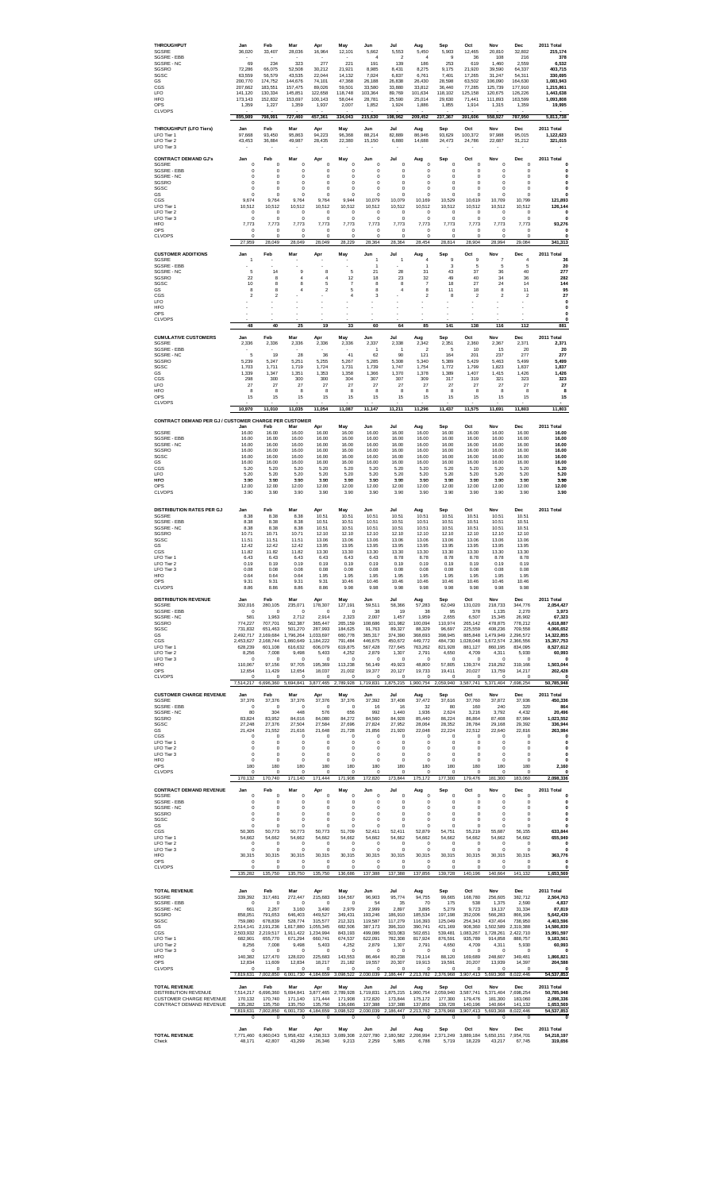| <b>THROUGHPUT</b><br>SGSRE<br>SGSRF - FBB<br>SGSRE - NC<br>SGSRO<br>SGSC<br>GS<br>CGS<br><b>LFO</b><br><b>HFO</b><br>OPS                                                         | Jan<br>36,020<br>69<br>72,286<br>63.559<br>200,770<br>207.662<br>141,120<br>173,143<br>1,359                                                             | Feb<br>33,407<br>234<br>66.075<br>56,579<br>174,752<br>183.551<br>130.334<br>152,832<br>1,227                                                       | Mar<br>28,036<br>323<br>52.508<br>43.535<br>144,676<br>157,475<br>145.851<br>153,697<br>1,359                                                       | Apr<br>16,964<br>277<br>30,212<br>22.044<br>74,101<br>89.026<br>122,658<br>100,143<br>1,937                                                                  | May<br>12,101<br>221<br>21.921<br>14,132<br>47,368<br>59,501<br>118,748<br>58,044<br>2.007                                                      | Jun<br>5,662<br>$\overline{4}$<br>191<br>8,985<br>7,024<br>26,188<br>33,580<br>103.364<br>28,781<br>1,852                                 | Jul<br>5,553<br>$\overline{\phantom{a}}$<br>139<br>8.431<br>6,837<br>26,838<br>33,880<br>89,769<br>25,590<br>1,924                             | Aug<br>5,450<br>$\overline{4}$<br>186<br>8,275<br>6,761<br>26,430<br>33.812<br>101,634<br>25,014<br>1,886                                | Sep<br>5,903<br>$\mathbf{q}$<br>253<br>9.175<br>7,401<br>28,598<br>36.440<br>118,102<br>29,630<br>1,855                                   | Oct<br>12,465<br>36<br>619<br>21.920<br>17,265<br>63,502<br>77.285<br>125,158<br>71,441<br>1,914                                                            | Nov<br>20,810<br>108<br>1,460<br>39.590<br>31,247<br>106,090<br>125,739<br>120,675<br>111,893<br>1,315                                            | Dec<br>32,802<br>216<br>2,559<br>64,337<br>54.311<br>164,630<br>177,910<br>126,226<br>163,599<br>1,359                                                  | 2011 Total<br>215,174<br>378<br>6,532<br>403,715<br>330,695<br>1,083,943<br>1.215.861<br>1,443,638<br>1,093,808<br>19,995                                               |
|----------------------------------------------------------------------------------------------------------------------------------------------------------------------------------|----------------------------------------------------------------------------------------------------------------------------------------------------------|-----------------------------------------------------------------------------------------------------------------------------------------------------|-----------------------------------------------------------------------------------------------------------------------------------------------------|--------------------------------------------------------------------------------------------------------------------------------------------------------------|-------------------------------------------------------------------------------------------------------------------------------------------------|-------------------------------------------------------------------------------------------------------------------------------------------|------------------------------------------------------------------------------------------------------------------------------------------------|------------------------------------------------------------------------------------------------------------------------------------------|-------------------------------------------------------------------------------------------------------------------------------------------|-------------------------------------------------------------------------------------------------------------------------------------------------------------|---------------------------------------------------------------------------------------------------------------------------------------------------|---------------------------------------------------------------------------------------------------------------------------------------------------------|-------------------------------------------------------------------------------------------------------------------------------------------------------------------------|
| <b>CLVOPS</b><br><b>THROUGHPUT (LFO Tiers)</b><br>LFO Tier 1<br>LFO Tier 2<br>LFO Tier 3                                                                                         | 895,989<br>Jan<br>97,668<br>43,453                                                                                                                       | 798,991<br>Feb<br>93,450<br>36,884                                                                                                                  | 727,460<br>Mar<br>95,863<br>49,987                                                                                                                  | 457,361<br>Apr<br>94,223<br>28,435                                                                                                                           | 334,043<br>May<br>96,368<br>22,380                                                                                                              | 215,630<br>Jun<br>88,214<br>15,150                                                                                                        | 198,962<br>Jul<br>82,889<br>6,880                                                                                                              | 209,452<br>Aug<br>86,946<br>14,688                                                                                                       | 237,367<br>Sep<br>93,629<br>24,473                                                                                                        | 391,606<br>Oct<br>100,372<br>24,786                                                                                                                         | 558,927<br>Nov<br>97,988<br>22,687                                                                                                                | 787,950<br>Dec<br>95,015<br>31,212                                                                                                                      | 5,813,738<br>2011 Total<br>1,122,623<br>321,015                                                                                                                         |
| <b>CONTRACT DEMAND GJ's</b><br>SGSRF<br>SGSRF - FBB<br>SGSRE - NC<br>SGSRO<br>SGSC<br>GS<br>CGS<br>LFO Tier 1<br>LFO Tier 2<br>LFO Tier 3<br><b>HFO</b><br>OPS<br><b>CLVOPS</b>  | Jan<br>$\pmb{0}$<br>$\mathbf 0$<br>$\bf{0}$<br>$\circ$<br>$^{\circ}$<br>$\bf{0}$<br>9,674<br>10,512<br>0<br>$\bf{0}$<br>7,773<br>$\bf{0}$<br>$\mathbf 0$ | Feb<br>$\mathbf 0$<br>$\mathbf 0$<br>0<br>$\mathbf 0$<br>$\mathbf 0$<br>0<br>9.764<br>10.512<br>0<br>$\mathbf 0$<br>7,773<br>0<br>$\mathbf 0$       | Mar<br>$\bf{0}$<br>$\mathbf 0$<br>0<br>$\theta$<br>$\mathbf 0$<br>0<br>9.764<br>10,512<br>0<br>$\bf{0}$<br>7.773<br>$\bf{0}$<br>$\theta$            | Apr<br>$\bf{0}$<br>$\mathbf 0$<br>$\bf{0}$<br>$\bf{0}$<br>$\mathbf 0$<br>$\bf{0}$<br>9,764<br>10.512<br>0<br>$\mathbf 0$<br>7,773<br>$\bf{0}$<br>$\mathbf 0$ | May<br>0<br>$\mathbf 0$<br>0<br>$\mathbf 0$<br>$\mathbf 0$<br>0<br>9.944<br>10,512<br>0<br>$\bf{0}$<br>7,773<br>0<br>$\mathbf 0$                | Jun<br>$\theta$<br>$\mathbf 0$<br>0<br>$\theta$<br>$\mathbf 0$<br>0<br>10,079<br>10,512<br>0<br>$\theta$<br>7,773<br>$\bf{0}$<br>$\theta$ | Jul<br>$\bf{0}$<br>$\mathbf 0$<br>0<br>$\circ$<br>$\mathbf 0$<br>0<br>10,079<br>10,512<br>0<br>$\mathbf 0$<br>7,773<br>$\bf{0}$<br>$\mathbf 0$ | Aug<br>$\theta$<br>$\circ$<br>0<br>$\theta$<br>$\circ$<br>0<br>10,169<br>10.512<br>0<br>$\theta$<br>7,773<br>$\pmb{0}$<br>$\circ$        | Sep<br>0<br>$\mathbf 0$<br>0<br>$\mathbf 0$<br>0<br>0<br>10,529<br>10,512<br>0<br>$\circ$<br>7,773<br>0<br>0                              | Oct<br>$\theta$<br>$^{\circ}$<br>$\bf{0}$<br>$\circ$<br>$\mathbf 0$<br>$\mathbf 0$<br>10,619<br>10.512<br>0<br>$\theta$<br>7,773<br>$\theta$<br>$\mathbf 0$ | Nov<br>$\mathbf 0$<br>$\mathbf 0$<br>0<br>$\mathbf 0$<br>$\mathbf 0$<br>0<br>10.709<br>10,512<br>0<br>$\mathbf 0$<br>7.773<br>0<br>$\circ$        | Dec<br>$\circ$<br>$\mathbf 0$<br>$\bf{0}$<br>$\circ$<br>$\mathbf 0$<br>$\bf{0}$<br>10.799<br>10.512<br>0<br>$\circ$<br>7,773<br>$\bf{0}$<br>$\mathbf 0$ | 2011 Total<br>0<br>$\mathbf 0$<br>$\bf{0}$<br>$\mathbf{0}$<br>0<br>$\Omega$<br>121,893<br>126.144<br>0<br>$\mathbf{0}$<br>93,276<br>0<br>0                              |
| <b>CUSTOMER ADDITIONS</b><br>SGSRE<br>SGSRE - EBB<br>SGSRE - NC<br>SGSRO<br>SGSC<br>GS<br>CGS<br>LFO                                                                             | 27,959<br>Jan<br>$\overline{1}$<br>5<br>22<br>10<br>$\mathbf{a}$<br>$\overline{2}$                                                                       | 28,049<br>Feb<br>14<br>8<br>8<br>8<br>$\overline{2}$                                                                                                | 28,049<br>Mar<br>9<br>4<br>8<br>$\overline{4}$                                                                                                      | 28,049<br>Apr<br>8<br>4<br>5<br>$\mathfrak{p}$                                                                                                               | 28,229<br>May<br>5<br>12<br>$\overline{7}$<br>5<br>$\overline{4}$                                                                               | 28,364<br>Jun<br>1<br>1<br>21<br>18<br>8<br>$\mathbf{a}$<br>3                                                                             | 28,364<br>Jul<br>1<br>28<br>23<br>8<br>4                                                                                                       | 28,454<br>Aug<br>4<br>1<br>31<br>32<br>$\overline{7}$<br>8<br>$\overline{2}$                                                             | 28,814<br>Sep<br>9<br>3<br>43<br>49<br>18<br>11<br>8                                                                                      | 28,904<br>Oct<br>9<br>5<br>37<br>40<br>27<br>18<br>$\overline{\mathbf{c}}$                                                                                  | 28,994<br>Nov<br>$\overline{\mathfrak{r}}$<br>5<br>36<br>34<br>24<br>8<br>$\overline{2}$                                                          | 29,084<br>Dec<br>4<br>5<br>40<br>36<br>14<br>11<br>$\overline{2}$                                                                                       | 341,313<br>2011 Total<br>36<br>20<br>277<br>282<br>144<br>95<br>27<br>$\mathbf 0$                                                                                       |
| <b>HFO</b><br>OPS<br><b>CLVOPS</b>                                                                                                                                               | ٠<br>48                                                                                                                                                  | ä,<br>40                                                                                                                                            | 25                                                                                                                                                  | ٠<br>19                                                                                                                                                      | ä,<br>33                                                                                                                                        | ٠<br>60                                                                                                                                   | ×,<br>64                                                                                                                                       | ä,<br>85                                                                                                                                 | ä,<br>141                                                                                                                                 | ä,<br>138                                                                                                                                                   | 116                                                                                                                                               | 112                                                                                                                                                     | $\Omega$<br>$\mathbf{0}$<br>0<br>881                                                                                                                                    |
| <b>CUMULATIVE CUSTOMERS</b><br>SGSRE<br>SGSRE - EBB<br>SGSRE - NC<br>SGSRO<br>SGSC<br>GS<br>CGS<br><b>LFO</b><br><b>HFO</b><br>OPS<br><b>CLVOPS</b>                              | Jan<br>2,336<br>5<br>5,239<br>1.703<br>1,339<br>298<br>27<br>$\mathbf{a}$<br>15<br>10,970                                                                | Feb<br>2,336<br>19<br>5,247<br>1.711<br>1.347<br>300<br>27<br>$\mathbf{a}$<br>15<br>11,010                                                          | Mar<br>2,336<br>28<br>5,251<br>1.719<br>1.351<br>300<br>27<br>8<br>15<br>11,035                                                                     | Apr<br>2,336<br>36<br>5,255<br>1.724<br>1.353<br>300<br>27<br>$\mathbf{a}$<br>15<br>11,054                                                                   | May<br>2,336<br>41<br>5,267<br>1.731<br>1.358<br>304<br>27<br>8<br>15<br>11,087                                                                 | Jun<br>2,337<br>$\mathbf{1}$<br>62<br>5,285<br>1.739<br>1,366<br>307<br>27<br>$\mathbf{a}$<br>15<br>11,147                                | Jul<br>2,338<br>1<br>90<br>5,308<br>1.747<br>1.370<br>307<br>27<br>8<br>15<br>11,211                                                           | Aug<br>2,342<br>$\overline{2}$<br>121<br>5,340<br>1.754<br>1,378<br>309<br>27<br>8<br>15<br>11,296                                       | Sep<br>2,351<br>5<br>164<br>5,389<br>1.772<br>1,389<br>317<br>27<br>8<br>15<br>11,437                                                     | Oct<br>2,360<br>10<br>201<br>5,429<br>1.799<br>1,407<br>319<br>27<br>8<br>15<br>11,575                                                                      | <b>Nov</b><br>2,367<br>15<br>237<br>5,463<br>1.823<br>1,415<br>321<br>27<br>8<br>15<br>11,691                                                     | Dec<br>2,371<br>20<br>277<br>5,499<br>1.837<br>1.426<br>323<br>27<br>8<br>15<br>11,803                                                                  | 2011 Total<br>2,371<br>20<br>277<br>5,499<br>1,837<br>1,426<br>323<br>27<br>8<br>15<br>11,803                                                                           |
| CONTRACT DEMAND PER GJ / CUSTOMER CHARGE PER CUSTOMER<br>SGSRE                                                                                                                   | Jan<br>16.00                                                                                                                                             | Feb<br>16.00                                                                                                                                        | Mar<br>16.00                                                                                                                                        | Apr<br>16.00                                                                                                                                                 | May<br>16.00                                                                                                                                    | Jun<br>16.00                                                                                                                              | Jul<br>16.00                                                                                                                                   | Aug<br>16.00                                                                                                                             | Sep<br>16.00                                                                                                                              | Oct<br>16.00                                                                                                                                                | Nov<br>16.00                                                                                                                                      | Dec<br>16.00                                                                                                                                            | 2011 Total<br>16.00                                                                                                                                                     |
| SGSRF - FBB<br>SGSRE - NC<br>SGSRO<br>SGSC<br>GS<br>CGS<br>LFO<br>HFO<br>OPS<br><b>CLVOPS</b>                                                                                    | 16.00<br>16.00<br>16.00<br>16.00<br>16.00<br>5.20<br>5.20<br>3.90<br>12.00<br>3.90                                                                       | 16.00<br>16.00<br>16.00<br>16.00<br>16.00<br>5.20<br>5.20<br>3.90<br>12.00<br>3.90                                                                  | 16.00<br>16.00<br>16.00<br>16.00<br>16.00<br>5.20<br>5.20<br>3.90<br>12.00<br>3.90                                                                  | 16.00<br>16.00<br>16.00<br>16.00<br>16.00<br>5.20<br>5.20<br>3.90<br>12.00<br>3.90                                                                           | 16.00<br>16.00<br>16.00<br>16.00<br>16.00<br>5.20<br>5.20<br>3.90<br>12.00<br>3.90                                                              | 16.00<br>16.00<br>16.00<br>16.00<br>16.00<br>5.20<br>5.20<br>3.90<br>12.00<br>3.90                                                        | 16.00<br>16.00<br>16.00<br>16.00<br>16.00<br>5.20<br>5.20<br>3.90<br>12.00<br>3.90                                                             | 16.00<br>16.00<br>16.00<br>16.00<br>16.00<br>5.20<br>5.20<br>3.90<br>12.00<br>3.90                                                       | 16.00<br>16.00<br>16.00<br>16.00<br>16.00<br>5.20<br>5.20<br>3.90<br>12.00<br>3.90                                                        | 16.00<br>16.00<br>16.00<br>16.00<br>16.00<br>5.20<br>5.20<br>3.90<br>12.00<br>3.90                                                                          | 16.00<br>16.00<br>16.00<br>16.00<br>16.00<br>5.20<br>5.20<br>3.90<br>12.00<br>3.90                                                                | 16.00<br>16.00<br>16.00<br>16.00<br>16.00<br>5.20<br>5.20<br>3.90<br>12.00<br>3.90                                                                      | 16.00<br>16.00<br>16.00<br>16.00<br>16.00<br>5.20<br>5.20<br>3.90<br>12.00<br>3.90                                                                                      |
| <b>DISTRIBUTION RATES PER GJ</b><br>SGSRE<br>SGSRE - EBB<br>SGSRE - NC<br>SGSRO<br>SGSC<br>GS<br>CGS<br>LFO Tier 1<br>LFO Tier 2<br>LFO Tier 3<br>HFO<br>OPS<br><b>CLVOPS</b>    | Jan<br>8.38<br>8.38<br>8.38<br>10.71<br>11.51<br>12.42<br>11.82<br>6.43<br>0.19<br>0.08<br>0.64<br>9.31<br>8.86                                          | Feb<br>8.38<br>8.38<br>8.38<br>10.71<br>11.51<br>12.42<br>11.82<br>6.43<br>0.19<br>0.08<br>0.64<br>9.31<br>8.86                                     | Mar<br>8.38<br>8.38<br>8.38<br>10.71<br>11.51<br>12.42<br>11.82<br>6.43<br>0.19<br>0.08<br>0.64<br>9.31<br>8.86                                     | Apr<br>10.51<br>10.51<br>10.51<br>12.10<br>13.06<br>13.95<br>13.30<br>6.43<br>0.19<br>0.08<br>1.95<br>9.31<br>8.86                                           | May<br>10.51<br>10.51<br>10.51<br>12.10<br>13.06<br>13.95<br>13.30<br>6.43<br>0.19<br>0.08<br>1.95<br>10.46<br>9.98                             | Jun<br>10.51<br>10.51<br>10.51<br>12.10<br>13.06<br>13.95<br>13.30<br>6.43<br>0.19<br>0.08<br>1.95<br>10.46<br>9.98                       | Jul<br>10.51<br>10.51<br>10.51<br>12.10<br>13.06<br>13.95<br>13.30<br>8.78<br>0.19<br>0.08<br>1.95<br>10.46<br>9.98                            | Aug<br>10.51<br>10.51<br>10.51<br>12.10<br>13.06<br>13.95<br>13.30<br>8.78<br>0.19<br>0.08<br>1.95<br>10.46<br>9.98                      | Sep<br>10.51<br>10.51<br>10.51<br>12.10<br>13.06<br>13.95<br>13.30<br>8.78<br>0.19<br>0.08<br>1.95<br>10.46<br>9.98                       | Oct<br>10.51<br>10.51<br>10.51<br>12.10<br>13.06<br>13.95<br>13.30<br>8.78<br>0.19<br>0.08<br>1.95<br>10.46<br>9.98                                         | Nov<br>10.51<br>10.51<br>10.51<br>12.10<br>13.06<br>13.95<br>13.30<br>8.78<br>0.19<br>0.08<br>1.95<br>10.46<br>9.98                               | Dec<br>10.51<br>10.51<br>10.51<br>12.10<br>13.06<br>13.95<br>13.30<br>8.78<br>0.19<br>0.08<br>1.95<br>10.46<br>9.98                                     | 2011 Total                                                                                                                                                              |
| <b>DISTRIBUTION REVENUE</b><br>SGSRF<br>SGSRF - FBB<br>SGSRE - NC<br>SGSRO<br>SGSC<br>GS<br>CGS<br>LFO Tier 1<br>I FO Tier 2<br>LFO Tier 3<br><b>HFO</b><br>OPS<br><b>CLVOPS</b> | Jan<br>302.016<br>$\theta$<br>581<br>774,227<br>731,832<br>2.492.717<br>2,453,627<br>628,239<br>8,256<br>0<br>110.067<br>12,654<br>$\circ$               | Feb<br>280.105<br>$\theta$<br>1.963<br>707,701<br>651,463<br>2.169.684<br>2,168,744<br>601,108<br>7,008<br>0<br>97.156<br>11,429<br>$\mathbf 0$     | Mar<br>235,071<br>$\circ$<br>2.712<br>562,387<br>501,270<br>1.796.264<br>1,860,649<br>616,632<br>9,498<br>0<br>97.705<br>12,654<br>$\circ$          | Apr<br>178,307<br>$\mathbf 0$<br>2.914<br>365,447<br>287,993<br>1.033.697<br>1,184,222<br>606,079<br>5,403<br>0<br>195,369<br>18,037<br>$\mathbf 0$          | May<br>127,191<br>$\theta$<br>2,323<br>265,159<br>184.625<br>660.778<br>791,484<br>619,875<br>4,252<br>O<br>113,238<br>21,002<br>$\mathbf 0$    | Jun<br>59,511<br>38<br>2.007<br>108,686<br>91,763<br>365.317<br>446,675<br>567,428<br>2,879<br>0<br>56.149<br>19,377<br>$\mathbf 0$       | Jul<br>58,366<br>19<br>1.457<br>101,982<br>89,327<br>374.390<br>450,672<br>727,645<br>1,307<br>0<br>49,923<br>20,127<br>$\circ$                | Aug<br>57.283<br>38<br>1.959<br>100,094<br>88,329<br>368,693<br>449,772<br>763,262<br>2,791<br>O<br>48.800<br>19,733<br>$\theta$         | Sep<br>62,049<br>95<br>2.655<br>110,974<br>96,697<br>398,945<br>484,730<br>821,928<br>4,650<br>0<br>57,805<br>19,411<br>0                 | Oct<br>131,020<br>378<br>6.507<br>265,142<br>225,559<br>885,848<br>1,028,048<br>881,127<br>4,709<br>0<br>139,374<br>20,027<br>$\mathbf 0$                   | Nov<br>218.733<br>1,135<br>15.345<br>478,875<br>408,236<br>1.479.949<br>1,672,574<br>860,195<br>4,311<br>0<br>218.292<br>13,759<br>$\mathbf 0$    | <b>Dec</b><br>344,776<br>2.270<br>26.902<br>778,212<br>709.558<br>2.296.572<br>2,366,556<br>834,095<br>5,930<br>0<br>319,166<br>14,217<br>C             | 2011 Total<br>2.054.427<br>3,973<br>67,323<br>4,618,887<br>4.066.652<br>14.322.855<br>15,357,753<br>8,527,612<br>60,993<br>0<br>1,503,044<br>202.428<br>$\mathbf{0}$    |
| <b>CUSTOMER CHARGE REVENUE</b><br>SGSRE<br>SGSRE - EBB<br>SGSRE - NC<br>SGSRO<br>SGSC<br>GS<br>CGS<br>LFO Tier 1                                                                 | 7,514,217<br>Jan<br>37,376<br>0<br>80<br>83.824<br>27,248<br>21,424<br>$^{\circ}$<br>$\pmb{0}$                                                           | 6.696.360<br>Feb<br>37.376<br>0<br>304<br>83.952<br>27,376<br>21,552<br>$\Omega$<br>0                                                               | 5.694.841<br>Mar<br>37.376<br>0<br>448<br>84,016<br>27,504<br>21,616<br>$\Omega$<br>$\bf{0}$                                                        | 3.877.465<br>Apr<br>37.376<br>$\mathbf 0$<br>576<br>84,080<br>27,584<br>21,648<br>$\mathbf 0$<br>$\bf{0}$                                                    | 2.789.928<br>May<br>37,376<br>0<br>656<br>84.272<br>27,696<br>21,728<br>$\mathbf 0$<br>0                                                        | 1.719.831<br>Jun<br>37.392<br>16<br>992<br>84.560<br>27,824<br>21,856<br>$\Omega$<br>$\bf{0}$                                             | 1.875.215<br>Jul<br>37.408<br>16<br>1,440<br>84,928<br>27,952<br>21,920<br>$\Omega$<br>$\bf{0}$                                                | 1.900.754<br>Aug<br>37.472<br>32<br>1,936<br>85,440<br>28,064<br>22,048<br>$\Omega$<br>$\bf{0}$                                          | 2.059.940<br>Sep<br>37.616<br>80<br>2,624<br>86.224<br>28,352<br>22,224<br>$\Omega$<br>0                                                  | 3.587.741<br>Oct<br>37,760<br>160<br>3,216<br>86,864<br>28,784<br>22,512<br>$\Omega$<br>$\bf{0}$                                                            | 5.371.404<br>Nov<br>37.872<br>240<br>3,792<br>87.408<br>29,168<br>22,640<br>$\circ$<br>0                                                          | 7.698.254<br>Dec<br>37.936<br>320<br>4.432<br>87.984<br>29,392<br>22,816<br>0<br>0                                                                      | 50,785,948<br>2011 Total<br>450.336<br>864<br>20,496<br>1.023.552<br>336,944<br>263,984<br>$\Omega$<br>0                                                                |
| LFO Tier 2<br>LFO Tier 3<br><b>HFO</b><br>OPS                                                                                                                                    | $\theta$<br>$\mathbf 0$<br>$\mathbf 0$<br>180<br>$\mathbf 0$                                                                                             | $\mathbf 0$<br>$\mathbf 0$<br>$\mathbf 0$<br>180<br>$\mathbf 0$                                                                                     | $\mathbf 0$<br>$\mathbf 0$<br>$\theta$<br>180<br>0                                                                                                  | $\mathbf 0$<br>$\mathbf 0$<br>$\mathbf 0$<br>180<br>$\circ$                                                                                                  | $\mathbf 0$<br>$\mathbf 0$<br>$\mathbf 0$<br>180<br>O                                                                                           | $\mathbf 0$<br>$\mathbf 0$<br>$\theta$<br>180<br>0                                                                                        | $\mathbf 0$<br>$\mathbf 0$<br>$\circ$<br>180<br>$\mathbf 0$                                                                                    | $\circ$<br>$\circ$<br>$\theta$<br>180<br>$\theta$                                                                                        | $\mathbf 0$<br>$\Omega$<br>$\theta$<br>180<br>0                                                                                           | $\mathbf 0$<br>$^{\circ}$<br>$\theta$<br>180<br>$^{\circ}$                                                                                                  | $\circ$<br>$\circ$<br>$\mathbf 0$<br>180<br>$\mathbf 0$                                                                                           | 0<br>0<br>$\circ$<br>180<br>0                                                                                                                           | $\mathbf 0$<br>$\mathbf 0$<br>$\mathbf{0}$<br>2,160<br>O                                                                                                                |
| <b>CLVOPS</b><br><b>CONTRACT DEMAND REVENUE</b><br>SGSRE<br><b>SGSRE - EBB</b><br>SGSRE - NC<br>SGSRO<br>SGSC<br>GS<br>CGS<br>LFO Tier 1<br>LFO Tier 2<br>LFO Tier 3             | 170,132<br>Jan<br>$\pmb{0}$<br>$\mathbf 0$<br>$\bf{0}$<br>$\bf{0}$<br>$\mathbf 0$<br>$\circ$<br>50.305<br>54,662<br>$\circ$<br>$\mathbf 0$               | 170,740<br>Feb<br>0<br>$\mathbf 0$<br>0<br>$\mathbf 0$<br>$\mathbf 0$<br>$\mathbf 0$<br>50.773<br>54.662<br>$\mathbf 0$<br>$\mathbf 0$              | 171,140<br>Mar<br>$\bf{0}$<br>$\mathbf 0$<br>0<br>$\bf{0}$<br>$\mathbf 0$<br>$\circ$<br>50.773<br>54,662<br>$\circ$<br>$\theta$                     | 171,444<br>Apr<br>$\bf{0}$<br>$\mathbf 0$<br>$\bf{0}$<br>$\mathbf 0$<br>0<br>$\mathbf 0$<br>50.773<br>54,662<br>$\circ$<br>$\mathbf 0$                       | 171,908<br>May<br>0<br>$\mathbf 0$<br>O<br>$\mathbf 0$<br>$\mathbf 0$<br>$\mathbf 0$<br>51.709<br>54,662<br>$\mathbf 0$<br>$\mathbf 0$          | 172,820<br>Jun<br>$\bf{0}$<br>$\mathbf 0$<br>0<br>$\theta$<br>$\mathbf 0$<br>$\theta$<br>52.411<br>54,662<br>$\circ$<br>$\theta$          | 173,844<br>Jul<br>$\bf{0}$<br>0<br>0<br>$\circ$<br>$\mathbf 0$<br>$\mathbf 0$<br>52.411<br>54.662<br>$\circ$<br>$\circ$                        | 175,172<br>Aug<br>$\theta$<br>0<br>0<br>$\theta$<br>0<br>$\theta$<br>52.879<br>54.662<br>$\circ$<br>$\circ$                              | 177,300<br>Sep<br>0<br>$\mathbf 0$<br>0<br>$\mathbf 0$<br>$\mathbf 0$<br>$\mathbf 0$<br>54.751<br>54,662<br>$\theta$<br>$\theta$          | 179,476<br>Oct<br>$\theta$<br>$^{\circ}$<br>0<br>$\mathbf 0$<br>$^{\circ}$<br>$\circ$<br>55.219<br>54.662<br>$\theta$<br>$^{\circ}$                         | 181.300<br>Nov<br>0<br>0<br>0<br>$\mathbf 0$<br>$\mathbf 0$<br>$\mathbf 0$<br>55.687<br>54,662<br>$\mathbf 0$<br>$\mathbf 0$                      | 183,060<br>Dec<br>0<br>0<br>0<br>$\bf{0}$<br>0<br>$\circ$<br>56.155<br>54.662<br>$\circ$<br>$\circ$                                                     | 2,098,336<br>2011 Total<br>0<br>$\mathbf 0$<br>0<br>$\mathbf{0}$<br>$\mathbf 0$<br>0<br>633,844<br>655,949<br>0<br>$\mathbf 0$                                          |
| HFO<br>OPS<br><b>CLVOPS</b>                                                                                                                                                      | 30,315<br>$\pmb{0}$<br>$\Omega$<br>135,282                                                                                                               | 30,315<br>0<br>$\Omega$<br>135,750                                                                                                                  | 30,315<br>$\bf{0}$<br>$\Omega$<br>135,750                                                                                                           | 30,315<br>$\bf{0}$<br>$\Omega$<br>135,750                                                                                                                    | 30,315<br>0<br>$\Omega$<br>136,686                                                                                                              | 30,315<br>$\bf{0}$<br>$\Omega$<br>137,388                                                                                                 | 30,315<br>$\circ$<br>$\Omega$<br>137,388                                                                                                       | 30,315<br>$\bf{0}$<br>$\Omega$<br>137,856                                                                                                | 30,315<br>0<br>$\Omega$<br>139,728                                                                                                        | 30,315<br>$\theta$<br>$\Omega$<br>140,196                                                                                                                   | 30,315<br>$\mathbf 0$<br>$\Omega$<br>140,664                                                                                                      | 30,315<br>$\circ$<br>$\Omega$<br>141,132                                                                                                                | 363,776<br>$\mathbf 0$<br>$\Omega$<br>1,653,569                                                                                                                         |
| <b>TOTAL REVENUE</b><br>SGSRE<br><b>SGSRE - EBB</b><br>SGSRE - NC<br>SGSRO<br>SGSC<br>GS<br>CGS<br>LFO Tier 1<br>LFO Tier 2<br>LFO Tier 3<br><b>HFO</b><br>OPS<br><b>CLVOPS</b>  | Jan<br>339.392<br>$^{\circ}$<br>661<br>858.051<br>759,080<br>2,514,141<br>2.503.932<br>682,901<br>8,256<br>$\Omega$<br>140,382<br>12.834<br>$\Omega$     | Feb<br>317.481<br>$\circ$<br>2,267<br>791,653<br>678,839<br>2,191,236<br>2.219.517<br>655,770<br>7,008<br>$\Omega$<br>127,470<br>11,609<br>$\Omega$ | Mar<br>272.447<br>$\circ$<br>3,160<br>646,403<br>528,774<br>1,817,880<br>1,911,422<br>671,294<br>9,498<br>$\Omega$<br>128,020<br>12.834<br>$\Omega$ | Apr<br>215.683<br>$^{\circ}$<br>3,490<br>449.527<br>315,577<br>1,055,345<br>1.234.994<br>660,741<br>5,403<br>$\Omega$<br>225,683<br>18.217<br>$\Omega$       | May<br>164,567<br>$\circ$<br>2,979<br>349.431<br>212,321<br>682,506<br>843.193<br>674,537<br>4,252<br>$\Omega$<br>143,553<br>21.182<br>$\Omega$ | Jun<br>96.903<br>54<br>2,999<br>193,246<br>119,587<br>387,173<br>499.086<br>622,091<br>2,879<br>$\Omega$<br>86,464<br>19,557<br>$\Omega$  | Jul<br>95,774<br>35<br>2.897<br>186,910<br>117,279<br>396,310<br>503.083<br>782,308<br>1,307<br>$\Omega$<br>80,238<br>20,307<br>$\Omega$       | Aug<br>94,755<br>70<br>3,895<br>185,534<br>116,393<br>390,741<br>502.651<br>817,924<br>2,791<br>$\Omega$<br>79,114<br>19.913<br>$\Omega$ | Sep<br>99.665<br>175<br>5,279<br>197,198<br>125,049<br>421,169<br>539,481<br>876,591<br>4,650<br>$\Omega$<br>88,120<br>19,591<br>$\Omega$ | Oct<br>168,780<br>538<br>9,723<br>352,006<br>254,343<br>908,360<br>1.083.267<br>935,789<br>4,709<br>$^{\circ}$<br>169,689<br>20,207<br>$\Omega$             | Nov<br>256,605<br>1,375<br>19,137<br>566,283<br>437,404<br>1,502,589<br>1.728.261<br>914,858<br>4,311<br>$\circ$<br>248,607<br>13,939<br>$\Omega$ | Dec<br>382.712<br>2.590<br>31,334<br>866,196<br>738,950<br>2.319.388<br>2.422.710<br>888,757<br>5,930<br>$\Omega$<br>349,481<br>14,397<br>$\Omega$      | 2011 Total<br>2.504.763<br>4,837<br>87,819<br>5.642.439<br>4,403,596<br>14,586,839<br>15.991.597<br>9,183,561<br>60,993<br>$\Omega$<br>1,866,821<br>204,588<br>$\Omega$ |
| <b>TOTAL REVENUE</b><br><b>DISTRIBUTION REVENUE</b><br><b>CUSTOMER CHARGE REVENUE</b><br>CONTRACT DEMAND REVENUE                                                                 | 7,819,631<br>Jan<br>7.514.217<br>170,132<br>135.282<br>7.819.631<br>0                                                                                    | 7,002,850<br>Feb<br>6.696.360<br>170,740<br>135,750<br>7,002,850<br>0                                                                               | 6,001,730<br>Mar<br>5,694,841<br>171,140<br>135.750<br>6.001.730<br>0                                                                               | 4,184,659<br>Apr<br>3,877,465<br>171,444<br>135,750<br>4.184.659<br>0                                                                                        | 3,098,522<br>May<br>2,789,928<br>171,908<br>136,686<br>3,098,522<br>$\mathbf 0$                                                                 | 2,030,039<br>Jun<br>1.719.831<br>172,820<br>137,388<br>2.030.039<br>0                                                                     | 2,186,447<br>Jul<br>1.875.215<br>173,844<br>137,388<br>2.186.447<br>0                                                                          | 2,213,782<br>Aug<br>1.900.754<br>175,172<br>137,856<br>2.213.782<br>0                                                                    | 2,376,968<br>Sep<br>2.059.940<br>177,300<br>139,728<br>2,376,968<br>0                                                                     | 3,907,413<br>Oct<br>3.587.741<br>179,476<br>140,196<br>3.907.413<br>$\mathbf 0$                                                                             | 5,693,368<br>Nov<br>5,371,404<br>181,300<br>140,664<br>5.693.368<br>0                                                                             | 8,022,446<br>Dec<br>7.698.254<br>183,060<br>141,132<br>8.022.446<br>0                                                                                   | 54,537,853<br>2011 Total<br>50.785.948<br>2,098,336<br>1,653,569<br>54,537,853<br>$\overline{\mathbf{0}}$                                                               |
| <b>TOTAL REVENUE</b><br>Check                                                                                                                                                    | Jan<br>7,771,460<br>48,171                                                                                                                               | Feb<br>6,960,043<br>42,807                                                                                                                          | Mar<br>5,958,432<br>43,299                                                                                                                          | Apr<br>4,158,313<br>26,346                                                                                                                                   | May<br>3,089,308<br>9,213                                                                                                                       | Jun<br>2,027,780<br>2,259                                                                                                                 | Jul<br>2,180,582<br>5,865                                                                                                                      | Aug<br>2,206,994<br>6,788                                                                                                                | Sep<br>2,371,249<br>5,719                                                                                                                 | Oct<br>3,889,184<br>18,229                                                                                                                                  | Nov<br>5,650,151<br>43,217                                                                                                                        | Dec<br>7,954,701<br>67,745                                                                                                                              | 2011 Total<br>54,218,197<br>319,656                                                                                                                                     |